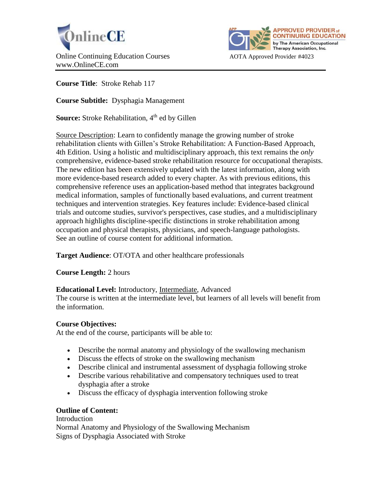



**Course Title**: Stroke Rehab 117

**Course Subtitle:** Dysphagia Management

**Source:** Stroke Rehabilitation, 4<sup>th</sup> ed by Gillen

Source Description: Learn to confidently manage the growing number of stroke rehabilitation clients with Gillen's Stroke Rehabilitation: A Function-Based Approach, 4th Edition. Using a holistic and multidisciplinary approach, this text remains the *only* comprehensive, evidence-based stroke rehabilitation resource for occupational therapists. The new edition has been extensively updated with the latest information, along with more evidence-based research added to every chapter. As with previous editions, this comprehensive reference uses an application-based method that integrates background medical information, samples of functionally based evaluations, and current treatment techniques and intervention strategies. Key features include: Evidence-based clinical trials and outcome studies, survivor's perspectives, case studies, and a multidisciplinary approach highlights discipline-specific distinctions in stroke rehabilitation among occupation and physical therapists, physicians, and speech-language pathologists. See an outline of course content for additional information.

**Target Audience**: OT/OTA and other healthcare professionals

**Course Length:** 2 hours

# **Educational Level:** Introductory, Intermediate, Advanced

The course is written at the intermediate level, but learners of all levels will benefit from the information.

# **Course Objectives:**

At the end of the course, participants will be able to:

- Describe the normal anatomy and physiology of the swallowing mechanism
- Discuss the effects of stroke on the swallowing mechanism
- Describe clinical and instrumental assessment of dysphagia following stroke
- Describe various rehabilitative and compensatory techniques used to treat dysphagia after a stroke
- Discuss the efficacy of dysphagia intervention following stroke

# **Outline of Content:**

### Introduction

Normal Anatomy and Physiology of the Swallowing Mechanism Signs of Dysphagia Associated with Stroke